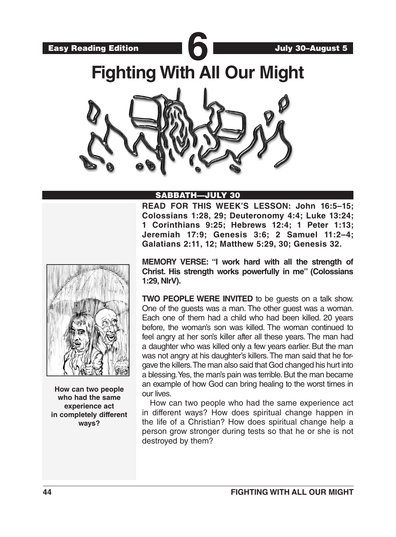Easy Reading Edition **600** 

**Fighting With All Our Might**



## SABBATH—JULY 30

**READ FOR THIS WEEK'S LESSON: John 16:5–15; Colossians 1:28, 29; Deuteronomy 4:4; Luke 13:24; 1 Corinthians 9:25; Hebrews 12:4; 1 Peter 1:13; Jeremiah 17:9; Genesis 3:6; 2 Samuel 11:2–4; Galatians 2:11, 12; Matthew 5:29, 30; Genesis 32.**



**How can two people who had the same experience act in completely different ways?**

**MEMORY VERSE: "I work hard with all the strength of Christ. His strength works powerfully in me" (Colossians 1:29, NIrV).**

**TWO PEOPLE WERE INVITED** to be guests on a talk show. One of the guests was a man. The other guest was a woman. Each one of them had a child who had been killed. 20 years before, the woman's son was killed. The woman continued to feel angry at her son's killer after all these years. The man had a daughter who was killed only a few years earlier. But the man was not angry at his daughter's killers. The man said that he forgave the killers. The man also said that God changed his hurt into a blessing. Yes, the man's pain was terrible. But the man became an example of how God can bring healing to the worst times in our lives.

How can two people who had the same experience act in different ways? How does spiritual change happen in the life of a Christian? How does spiritual change help a person grow stronger during tests so that he or she is not destroyed by them?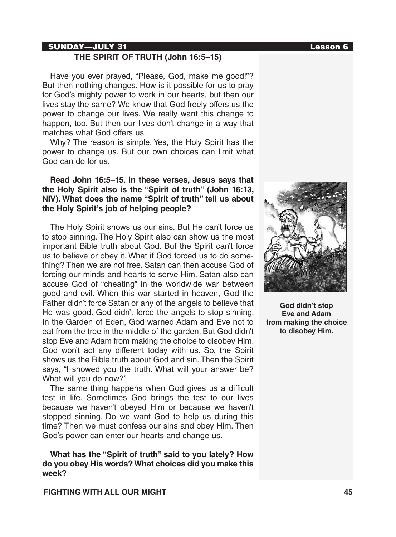### SUNDAY—JULY 31 Lesson 6

## **THE SPIRIT OF TRUTH (John 16:5–15)**

Have you ever prayed, "Please, God, make me good!"? But then nothing changes. How is it possible for us to pray for God's mighty power to work in our hearts, but then our lives stay the same? We know that God freely offers us the power to change our lives. We really want this change to happen, too. But then our lives don't change in a way that matches what God offers us.

Why? The reason is simple. Yes, the Holy Spirit has the power to change us. But our own choices can limit what God can do for us.

### **Read John 16:5–15. In these verses, Jesus says that the Holy Spirit also is the "Spirit of truth" (John 16:13, NIV). What does the name "Spirit of truth" tell us about the Holy Spirit's job of helping people?**

The Holy Spirit shows us our sins. But He can't force us to stop sinning. The Holy Spirit also can show us the most important Bible truth about God. But the Spirit can't force us to believe or obey it. What if God forced us to do something? Then we are not free. Satan can then accuse God of forcing our minds and hearts to serve Him. Satan also can accuse God of "cheating" in the worldwide war between good and evil. When this war started in heaven, God the Father didn't force Satan or any of the angels to believe that He was good. God didn't force the angels to stop sinning. In the Garden of Eden, God warned Adam and Eve not to eat from the tree in the middle of the garden. But God didn't stop Eve and Adam from making the choice to disobey Him. God won't act any different today with us. So, the Spirit shows us the Bible truth about God and sin. Then the Spirit says, "I showed you the truth. What will your answer be? What will you do now?"

The same thing happens when God gives us a difficult test in life. Sometimes God brings the test to our lives because we haven't obeyed Him or because we haven't stopped sinning. Do we want God to help us during this time? Then we must confess our sins and obey Him. Then God's power can enter our hearts and change us.

**What has the "Spirit of truth" said to you lately? How do you obey His words? What choices did you make this week?**



**God didn't stop Eve and Adam from making the choice to disobey Him.**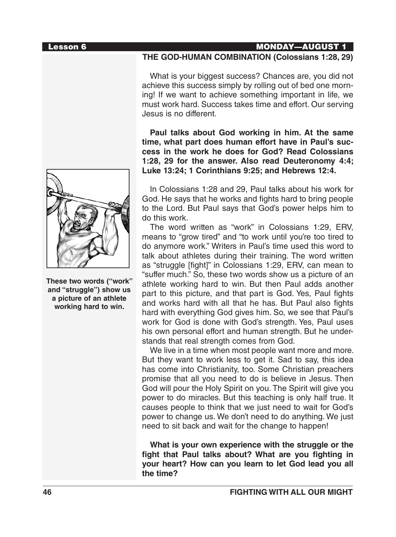

**These two words ("work" and "struggle") show us a picture of an athlete working hard to win.**

#### Lesson 6 MONDAY—AUGUST 1

#### **THE GOD-HUMAN COMBINATION (Colossians 1:28, 29)**

What is your biggest success? Chances are, you did not achieve this success simply by rolling out of bed one morning! If we want to achieve something important in life, we must work hard. Success takes time and effort. Our serving Jesus is no different.

**Paul talks about God working in him. At the same time, what part does human effort have in Paul's success in the work he does for God? Read Colossians 1:28, 29 for the answer. Also read Deuteronomy 4:4; Luke 13:24; 1 Corinthians 9:25; and Hebrews 12:4.** 

In Colossians 1:28 and 29, Paul talks about his work for God. He says that he works and fights hard to bring people to the Lord. But Paul says that God's power helps him to do this work.

The word written as "work" in Colossians 1:29, ERV, means to "grow tired" and "to work until you're too tired to do anymore work." Writers in Paul's time used this word to talk about athletes during their training. The word written as "struggle [fight]" in Colossians 1:29, ERV, can mean to "suffer much." So, these two words show us a picture of an athlete working hard to win. But then Paul adds another part to this picture, and that part is God. Yes, Paul fights and works hard with all that he has. But Paul also fights hard with everything God gives him. So, we see that Paul's work for God is done with God's strength. Yes, Paul uses his own personal effort and human strength. But he understands that real strength comes from God.

We live in a time when most people want more and more. But they want to work less to get it. Sad to say, this idea has come into Christianity, too. Some Christian preachers promise that all you need to do is believe in Jesus. Then God will pour the Holy Spirit on you. The Spirit will give you power to do miracles. But this teaching is only half true. It causes people to think that we just need to wait for God's power to change us. We don't need to do anything. We just need to sit back and wait for the change to happen!

**What is your own experience with the struggle or the fight that Paul talks about? What are you fighting in your heart? How can you learn to let God lead you all the time?**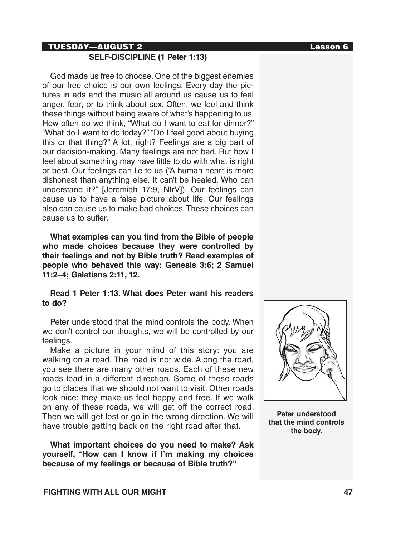## TUESDAY—AUGUST 2 Lesson 6

# **SELF-DISCIPLINE (1 Peter 1:13)**

God made us free to choose. One of the biggest enemies of our free choice is our own feelings. Every day the pictures in ads and the music all around us cause us to feel anger, fear, or to think about sex. Often, we feel and think these things without being aware of what's happening to us. How often do we think, "What do I want to eat for dinner?" "What do I want to do today?" "Do I feel good about buying this or that thing?" A lot, right? Feelings are a big part of our decision-making. Many feelings are not bad. But how I feel about something may have little to do with what is right or best. Our feelings can lie to us ("A human heart is more dishonest than anything else. It can't be healed. Who can understand it?" [Jeremiah 17:9, NIrV]). Our feelings can cause us to have a false picture about life. Our feelings also can cause us to make bad choices. These choices can cause us to suffer.

**What examples can you find from the Bible of people who made choices because they were controlled by their feelings and not by Bible truth? Read examples of people who behaved this way: Genesis 3:6; 2 Samuel 11:2–4; Galatians 2:11, 12.** 

## **Read 1 Peter 1:13. What does Peter want his readers to do?**

Peter understood that the mind controls the body. When we don't control our thoughts, we will be controlled by our feelings.

Make a picture in your mind of this story: you are walking on a road. The road is not wide. Along the road, you see there are many other roads. Each of these new roads lead in a different direction. Some of these roads go to places that we should not want to visit. Other roads look nice; they make us feel happy and free. If we walk on any of these roads, we will get off the correct road. Then we will get lost or go in the wrong direction. We will have trouble getting back on the right road after that.

**What important choices do you need to make? Ask yourself, "How can I know if I'm making my choices because of my feelings or because of Bible truth?"**



**Peter understood that the mind controls the body.**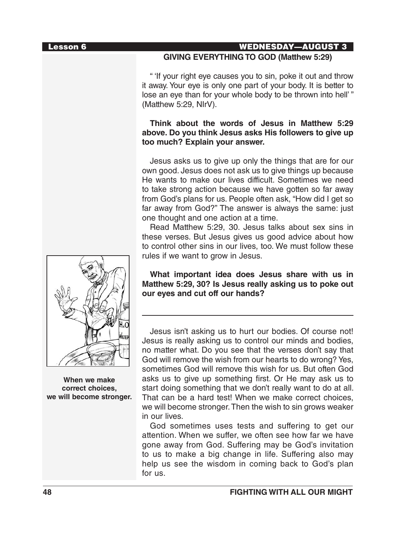#### Lesson 6 WEDNESDAY—AUGUST 3

## **GIVING EVERYTHING TO GOD (Matthew 5:29)**

" 'If your right eye causes you to sin, poke it out and throw it away. Your eye is only one part of your body. It is better to lose an eye than for your whole body to be thrown into hell' " (Matthew 5:29, NIrV).

## **Think about the words of Jesus in Matthew 5:29 above. Do you think Jesus asks His followers to give up too much? Explain your answer.**

Jesus asks us to give up only the things that are for our own good. Jesus does not ask us to give things up because He wants to make our lives difficult. Sometimes we need to take strong action because we have gotten so far away from God's plans for us. People often ask, "How did I get so far away from God?" The answer is always the same: just one thought and one action at a time.

Read Matthew 5:29, 30. Jesus talks about sex sins in these verses. But Jesus gives us good advice about how to control other sins in our lives, too. We must follow these rules if we want to grow in Jesus.

**What important idea does Jesus share with us in Matthew 5:29, 30? Is Jesus really asking us to poke out our eyes and cut off our hands?**

Jesus isn't asking us to hurt our bodies. Of course not! Jesus is really asking us to control our minds and bodies, no matter what. Do you see that the verses don't say that God will remove the wish from our hearts to do wrong? Yes, sometimes God will remove this wish for us. But often God asks us to give up something first. Or He may ask us to start doing something that we don't really want to do at all. That can be a hard test! When we make correct choices, we will become stronger. Then the wish to sin grows weaker in our lives.

God sometimes uses tests and suffering to get our attention. When we suffer, we often see how far we have gone away from God. Suffering may be God's invitation to us to make a big change in life. Suffering also may help us see the wisdom in coming back to God's plan for us.



**When we make correct choices, we will become stronger.**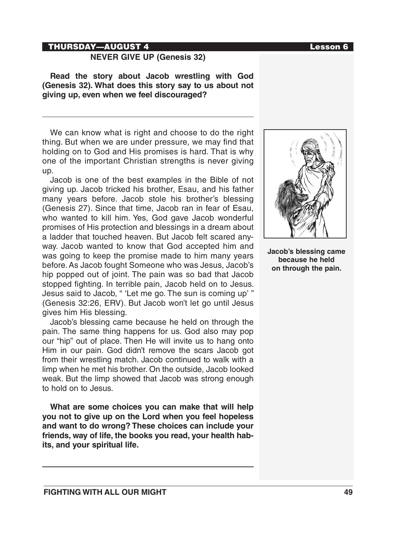#### THURSDAY—AUGUST 4 Lesson 6

## **NEVER GIVE UP (Genesis 32)**

**Read the story about Jacob wrestling with God (Genesis 32). What does this story say to us about not giving up, even when we feel discouraged?** 

We can know what is right and choose to do the right thing. But when we are under pressure, we may find that holding on to God and His promises is hard. That is why one of the important Christian strengths is never giving up.

Jacob is one of the best examples in the Bible of not giving up. Jacob tricked his brother, Esau, and his father many years before. Jacob stole his brother's blessing (Genesis 27). Since that time, Jacob ran in fear of Esau, who wanted to kill him. Yes, God gave Jacob wonderful promises of His protection and blessings in a dream about a ladder that touched heaven. But Jacob felt scared anyway. Jacob wanted to know that God accepted him and was going to keep the promise made to him many years before. As Jacob fought Someone who was Jesus, Jacob's hip popped out of joint. The pain was so bad that Jacob stopped fighting. In terrible pain, Jacob held on to Jesus. Jesus said to Jacob, " 'Let me go. The sun is coming up' " (Genesis 32:26, ERV). But Jacob won't let go until Jesus gives him His blessing.

Jacob's blessing came because he held on through the pain. The same thing happens for us. God also may pop our "hip" out of place. Then He will invite us to hang onto Him in our pain. God didn't remove the scars Jacob got from their wrestling match. Jacob continued to walk with a limp when he met his brother. On the outside, Jacob looked weak. But the limp showed that Jacob was strong enough to hold on to Jesus.

**What are some choices you can make that will help you not to give up on the Lord when you feel hopeless and want to do wrong? These choices can include your friends, way of life, the books you read, your health habits, and your spiritual life.**



**Jacob's blessing came because he held on through the pain.**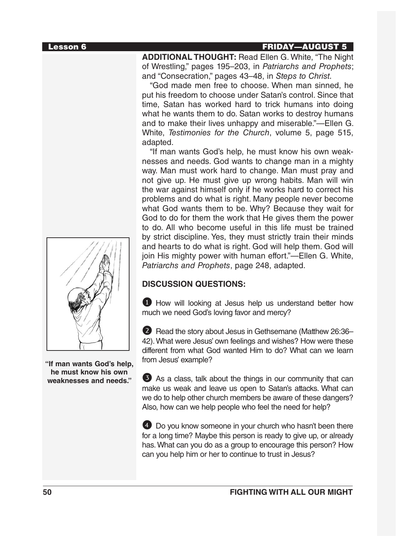#### Lesson 6 FRIDAY—AUGUST 5

**ADDITIONAL THOUGHT:** Read Ellen G. White, "The Night of Wrestling," pages 195–203, in *Patriarchs and Prophets*; and "Consecration," pages 43–48, in *Steps to Christ.*

"God made men free to choose. When man sinned, he put his freedom to choose under Satan's control. Since that time, Satan has worked hard to trick humans into doing what he wants them to do. Satan works to destroy humans and to make their lives unhappy and miserable."—Ellen G. White, *Testimonies for the Church*, volume 5, page 515, adapted.

"If man wants God's help, he must know his own weaknesses and needs. God wants to change man in a mighty way. Man must work hard to change. Man must pray and not give up. He must give up wrong habits. Man will win the war against himself only if he works hard to correct his problems and do what is right. Many people never become what God wants them to be. Why? Because they wait for God to do for them the work that He gives them the power to do. All who become useful in this life must be trained by strict discipline. Yes, they must strictly train their minds and hearts to do what is right. God will help them. God will join His mighty power with human effort."—Ellen G. White, *Patriarchs and Prophets*, page 248, adapted.

# **DISCUSSION QUESTIONS:**

**1** How will looking at Jesus help us understand better how much we need God's loving favor and mercy?

2 Read the story about Jesus in Gethsemane (Matthew 26:36-42). What were Jesus' own feelings and wishes? How were these different from what God wanted Him to do? What can we learn from Jesus' example?

3 As a class, talk about the things in our community that can make us weak and leave us open to Satan's attacks. What can we do to help other church members be aware of these dangers? Also, how can we help people who feel the need for help?

4 Do you know someone in your church who hasn't been there for a long time? Maybe this person is ready to give up, or already has. What can you do as a group to encourage this person? How can you help him or her to continue to trust in Jesus?



**"If man wants God's help, he must know his own weaknesses and needs."**